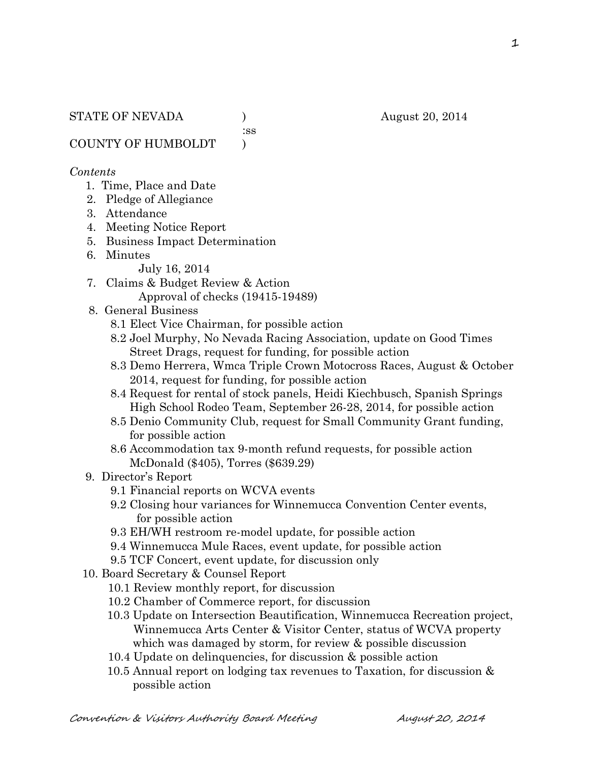:ss

COUNTY OF HUMBOLDT )

#### *Contents*

- 1. Time, Place and Date
- 2. Pledge of Allegiance
- 3. Attendance
- 4. Meeting Notice Report
- 5. Business Impact Determination
- 6. Minutes
	- July 16, 2014
- 7. Claims & Budget Review & Action
	- Approval of checks (19415-19489)
- 8. General Business
	- 8.1 Elect Vice Chairman, for possible action
	- 8.2 Joel Murphy, No Nevada Racing Association, update on Good Times Street Drags, request for funding, for possible action
	- 8.3 Demo Herrera, Wmca Triple Crown Motocross Races, August & October 2014, request for funding, for possible action
	- 8.4 Request for rental of stock panels, Heidi Kiechbusch, Spanish Springs High School Rodeo Team, September 26-28, 2014, for possible action
	- 8.5 Denio Community Club, request for Small Community Grant funding, for possible action
	- 8.6 Accommodation tax 9-month refund requests, for possible action McDonald (\$405), Torres (\$639.29)
- 9. Director's Report
	- 9.1 Financial reports on WCVA events
	- 9.2 Closing hour variances for Winnemucca Convention Center events, for possible action
	- 9.3 EH/WH restroom re-model update, for possible action
	- 9.4 Winnemucca Mule Races, event update, for possible action
	- 9.5 TCF Concert, event update, for discussion only
- 10. Board Secretary & Counsel Report
	- 10.1 Review monthly report, for discussion
	- 10.2 Chamber of Commerce report, for discussion
	- 10.3 Update on Intersection Beautification, Winnemucca Recreation project, Winnemucca Arts Center & Visitor Center, status of WCVA property which was damaged by storm, for review & possible discussion
	- 10.4 Update on delinquencies, for discussion & possible action
	- 10.5 Annual report on lodging tax revenues to Taxation, for discussion & possible action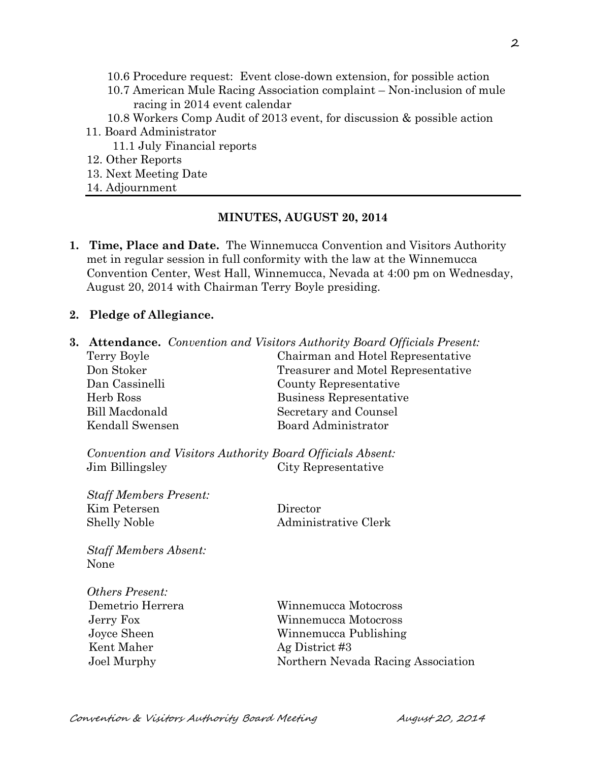- 10.6 Procedure request: Event close-down extension, for possible action
- 10.7 American Mule Racing Association complaint Non-inclusion of mule racing in 2014 event calendar
- 10.8 Workers Comp Audit of 2013 event, for discussion & possible action
- 11. Board Administrator
	- 11.1 July Financial reports
- 12. Other Reports
- 13. Next Meeting Date
- 14. Adjournment

#### **MINUTES, AUGUST 20, 2014**

- **1. Time, Place and Date.** The Winnemucca Convention and Visitors Authority met in regular session in full conformity with the law at the Winnemucca Convention Center, West Hall, Winnemucca, Nevada at 4:00 pm on Wednesday, August 20, 2014 with Chairman Terry Boyle presiding.
- **2. Pledge of Allegiance.**
- **3. Attendance.** *Convention and Visitors Authority Board Officials Present:* Terry Boyle Chairman and Hotel Representative

| Don Stoker      | Treasurer and Motel Representative |  |
|-----------------|------------------------------------|--|
| Dan Cassinelli  | County Representative              |  |
| Herb Ross       | Business Representative            |  |
| Bill Macdonald  | Secretary and Counsel              |  |
| Kendall Swensen | Board Administrator                |  |
|                 |                                    |  |

*Convention and Visitors Authority Board Officials Absent:* Jim Billingsley City Representative

*Staff Members Present:* Kim Petersen Director Shelly Noble Administrative Clerk

*Staff Members Absent:* None

*Others Present:* Kent Maher Ag District #3

 Demetrio Herrera Winnemucca Motocross Jerry Fox Winnemucca Motocross Joyce Sheen Winnemucca Publishing Joel Murphy Northern Nevada Racing Association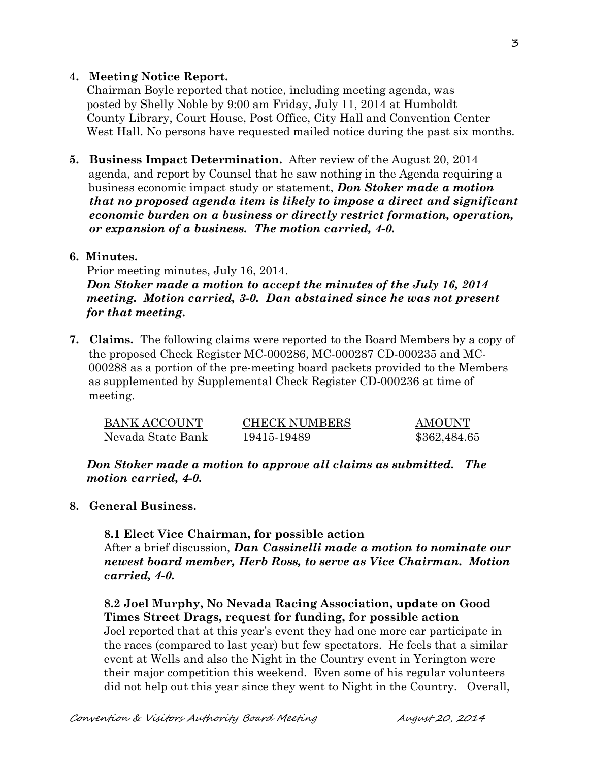#### **4. Meeting Notice Report.**

Chairman Boyle reported that notice, including meeting agenda, was posted by Shelly Noble by 9:00 am Friday, July 11, 2014 at Humboldt County Library, Court House, Post Office, City Hall and Convention Center West Hall. No persons have requested mailed notice during the past six months.

**5. Business Impact Determination.** After review of the August 20, 2014 agenda, and report by Counsel that he saw nothing in the Agenda requiring a business economic impact study or statement, *Don Stoker made a motion that no proposed agenda item is likely to impose a direct and significant economic burden on a business or directly restrict formation, operation, or expansion of a business. The motion carried, 4-0.* 

#### **6. Minutes.**

Prior meeting minutes, July 16, 2014. *Don Stoker made a motion to accept the minutes of the July 16, 2014 meeting. Motion carried, 3-0. Dan abstained since he was not present for that meeting.* 

**7. Claims.** The following claims were reported to the Board Members by a copy of the proposed Check Register MC-000286, MC-000287 CD-000235 and MC- 000288 as a portion of the pre-meeting board packets provided to the Members as supplemented by Supplemental Check Register CD-000236 at time of meeting.

| <b>BANK ACCOUNT</b> | <b>CHECK NUMBERS</b> | <b>AMOUNT</b> |
|---------------------|----------------------|---------------|
| Nevada State Bank   | 19415-19489          | \$362,484.65  |

*Don Stoker made a motion to approve all claims as submitted. The motion carried, 4-0.*

# **8. General Business.**

**8.1 Elect Vice Chairman, for possible action** After a brief discussion, *Dan Cassinelli made a motion to nominate our newest board member, Herb Ross, to serve as Vice Chairman. Motion carried, 4-0.*

# **8.2 Joel Murphy, No Nevada Racing Association, update on Good Times Street Drags, request for funding, for possible action**

Joel reported that at this year's event they had one more car participate in the races (compared to last year) but few spectators. He feels that a similar event at Wells and also the Night in the Country event in Yerington were their major competition this weekend. Even some of his regular volunteers did not help out this year since they went to Night in the Country. Overall,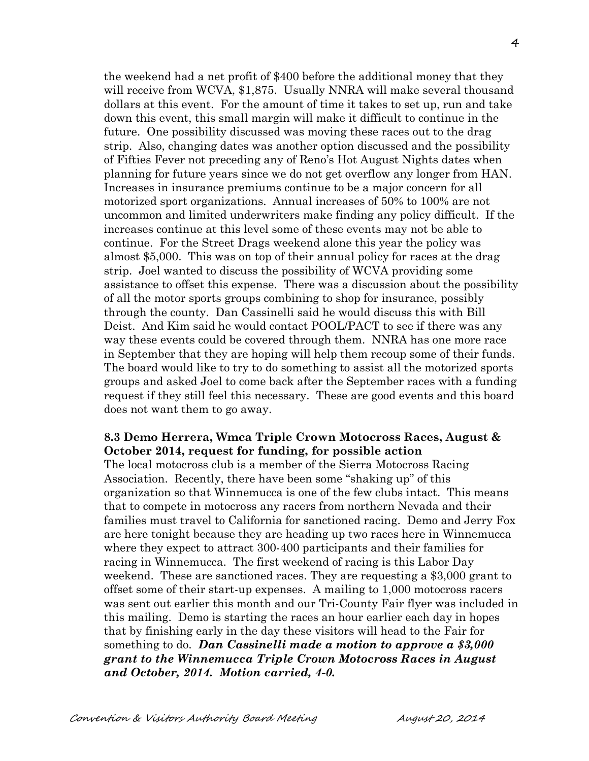the weekend had a net profit of \$400 before the additional money that they will receive from WCVA, \$1,875. Usually NNRA will make several thousand dollars at this event. For the amount of time it takes to set up, run and take down this event, this small margin will make it difficult to continue in the future. One possibility discussed was moving these races out to the drag strip. Also, changing dates was another option discussed and the possibility of Fifties Fever not preceding any of Reno's Hot August Nights dates when planning for future years since we do not get overflow any longer from HAN. Increases in insurance premiums continue to be a major concern for all motorized sport organizations. Annual increases of 50% to 100% are not uncommon and limited underwriters make finding any policy difficult. If the increases continue at this level some of these events may not be able to continue. For the Street Drags weekend alone this year the policy was almost \$5,000. This was on top of their annual policy for races at the drag strip. Joel wanted to discuss the possibility of WCVA providing some assistance to offset this expense. There was a discussion about the possibility of all the motor sports groups combining to shop for insurance, possibly through the county. Dan Cassinelli said he would discuss this with Bill Deist. And Kim said he would contact POOL/PACT to see if there was any way these events could be covered through them. NNRA has one more race in September that they are hoping will help them recoup some of their funds. The board would like to try to do something to assist all the motorized sports groups and asked Joel to come back after the September races with a funding request if they still feel this necessary. These are good events and this board does not want them to go away.

#### **8.3 Demo Herrera, Wmca Triple Crown Motocross Races, August & October 2014, request for funding, for possible action**

The local motocross club is a member of the Sierra Motocross Racing Association. Recently, there have been some "shaking up" of this organization so that Winnemucca is one of the few clubs intact. This means that to compete in motocross any racers from northern Nevada and their families must travel to California for sanctioned racing. Demo and Jerry Fox are here tonight because they are heading up two races here in Winnemucca where they expect to attract 300-400 participants and their families for racing in Winnemucca. The first weekend of racing is this Labor Day weekend. These are sanctioned races. They are requesting a \$3,000 grant to offset some of their start-up expenses. A mailing to 1,000 motocross racers was sent out earlier this month and our Tri-County Fair flyer was included in this mailing. Demo is starting the races an hour earlier each day in hopes that by finishing early in the day these visitors will head to the Fair for something to do. *Dan Cassinelli made a motion to approve a \$3,000 grant to the Winnemucca Triple Crown Motocross Races in August and October, 2014. Motion carried, 4-0.*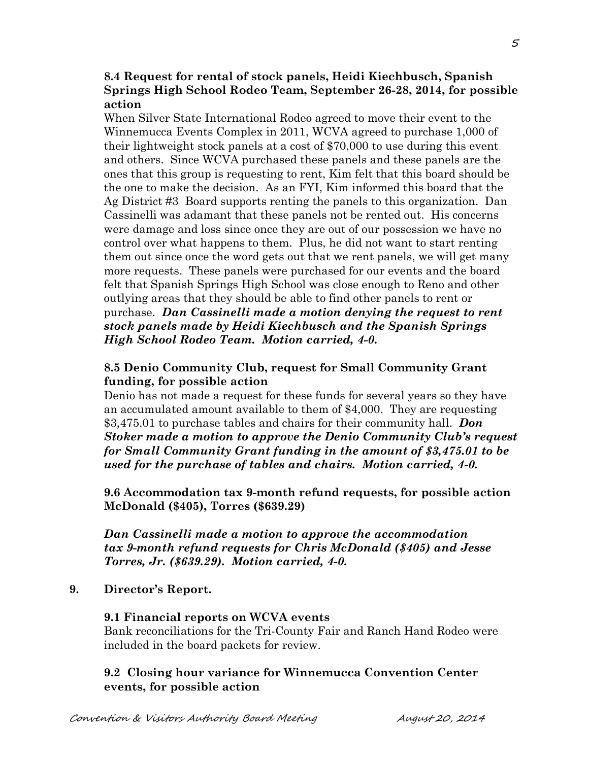#### **8.4 Request for rental of stock panels, Heidi Kiechbusch, Spanish Springs High School Rodeo Team, September 26-28, 2014, for possible action**

When Silver State International Rodeo agreed to move their event to the Winnemucca Events Complex in 2011, WCVA agreed to purchase 1,000 of their lightweight stock panels at a cost of \$70,000 to use during this event and others. Since WCVA purchased these panels and these panels are the ones that this group is requesting to rent, Kim felt that this board should be the one to make the decision. As an FYI, Kim informed this board that the Ag District #3 Board supports renting the panels to this organization. Dan Cassinelli was adamant that these panels not be rented out. His concerns were damage and loss since once they are out of our possession we have no control over what happens to them. Plus, he did not want to start renting them out since once the word gets out that we rent panels, we will get many more requests. These panels were purchased for our events and the board felt that Spanish Springs High School was close enough to Reno and other outlying areas that they should be able to find other panels to rent or purchase. *Dan Cassinelli made a motion denying the request to rent stock panels made by Heidi Kiechbusch and the Spanish Springs High School Rodeo Team. Motion carried, 4-0.* 

#### **8.5 Denio Community Club, request for Small Community Grant funding, for possible action**

Denio has not made a request for these funds for several years so they have an accumulated amount available to them of \$4,000. They are requesting \$3,475.01 to purchase tables and chairs for their community hall. *Don Stoker made a motion to approve the Denio Community Club's request for Small Community Grant funding in the amount of \$3,475.01 to be used for the purchase of tables and chairs. Motion carried, 4-0.* 

**9.6 Accommodation tax 9-month refund requests, for possible action McDonald (\$405), Torres (\$639.29)**

*Dan Cassinelli made a motion to approve the accommodation tax 9-month refund requests for Chris McDonald (\$405) and Jesse Torres, Jr. (\$639.29). Motion carried, 4-0.*

**9. Director's Report.**

#### **9.1 Financial reports on WCVA events**

Bank reconciliations for the Tri-County Fair and Ranch Hand Rodeo were included in the board packets for review.

## **9.2 Closing hour variance for Winnemucca Convention Center events, for possible action**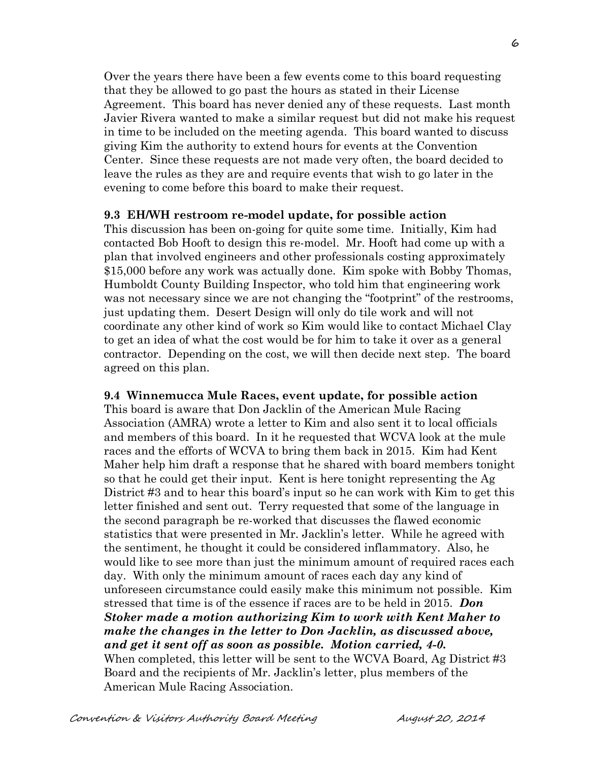Over the years there have been a few events come to this board requesting that they be allowed to go past the hours as stated in their License Agreement. This board has never denied any of these requests. Last month Javier Rivera wanted to make a similar request but did not make his request in time to be included on the meeting agenda. This board wanted to discuss giving Kim the authority to extend hours for events at the Convention Center. Since these requests are not made very often, the board decided to leave the rules as they are and require events that wish to go later in the evening to come before this board to make their request.

#### **9.3 EH/WH restroom re-model update, for possible action**

This discussion has been on-going for quite some time. Initially, Kim had contacted Bob Hooft to design this re-model. Mr. Hooft had come up with a plan that involved engineers and other professionals costing approximately \$15,000 before any work was actually done. Kim spoke with Bobby Thomas, Humboldt County Building Inspector, who told him that engineering work was not necessary since we are not changing the "footprint" of the restrooms, just updating them. Desert Design will only do tile work and will not coordinate any other kind of work so Kim would like to contact Michael Clay to get an idea of what the cost would be for him to take it over as a general contractor. Depending on the cost, we will then decide next step. The board agreed on this plan.

#### **9.4 Winnemucca Mule Races, event update, for possible action**

This board is aware that Don Jacklin of the American Mule Racing Association (AMRA) wrote a letter to Kim and also sent it to local officials and members of this board. In it he requested that WCVA look at the mule races and the efforts of WCVA to bring them back in 2015. Kim had Kent Maher help him draft a response that he shared with board members tonight so that he could get their input. Kent is here tonight representing the Ag District #3 and to hear this board's input so he can work with Kim to get this letter finished and sent out. Terry requested that some of the language in the second paragraph be re-worked that discusses the flawed economic statistics that were presented in Mr. Jacklin's letter. While he agreed with the sentiment, he thought it could be considered inflammatory. Also, he would like to see more than just the minimum amount of required races each day. With only the minimum amount of races each day any kind of unforeseen circumstance could easily make this minimum not possible. Kim stressed that time is of the essence if races are to be held in 2015. *Don Stoker made a motion authorizing Kim to work with Kent Maher to make the changes in the letter to Don Jacklin, as discussed above, and get it sent off as soon as possible. Motion carried, 4-0.*  When completed, this letter will be sent to the WCVA Board, Ag District #3 Board and the recipients of Mr. Jacklin's letter, plus members of the American Mule Racing Association.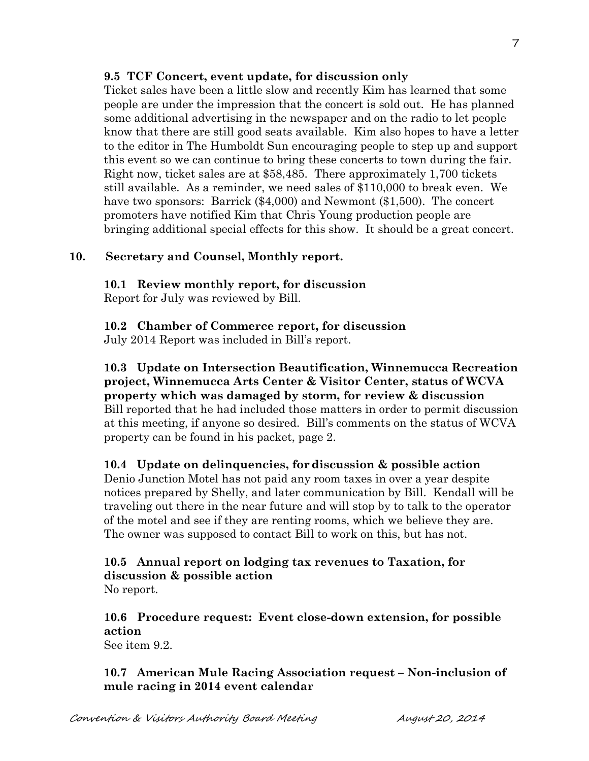### **9.5 TCF Concert, event update, for discussion only**

Ticket sales have been a little slow and recently Kim has learned that some people are under the impression that the concert is sold out. He has planned some additional advertising in the newspaper and on the radio to let people know that there are still good seats available. Kim also hopes to have a letter to the editor in The Humboldt Sun encouraging people to step up and support this event so we can continue to bring these concerts to town during the fair. Right now, ticket sales are at \$58,485. There approximately 1,700 tickets still available. As a reminder, we need sales of \$110,000 to break even. We have two sponsors: Barrick (\$4,000) and Newmont (\$1,500). The concert promoters have notified Kim that Chris Young production people are bringing additional special effects for this show. It should be a great concert.

#### **10. Secretary and Counsel, Monthly report.**

**10.1 Review monthly report, for discussion** Report for July was reviewed by Bill.

**10.2 Chamber of Commerce report, for discussion** July 2014 Report was included in Bill's report.

**10.3 Update on Intersection Beautification, Winnemucca Recreation project, Winnemucca Arts Center & Visitor Center, status of WCVA property which was damaged by storm, for review & discussion**  Bill reported that he had included those matters in order to permit discussion at this meeting, if anyone so desired. Bill's comments on the status of WCVA property can be found in his packet, page 2.

**10.4 Update on delinquencies, fordiscussion & possible action** Denio Junction Motel has not paid any room taxes in over a year despite notices prepared by Shelly, and later communication by Bill. Kendall will be traveling out there in the near future and will stop by to talk to the operator of the motel and see if they are renting rooms, which we believe they are. The owner was supposed to contact Bill to work on this, but has not.

# **10.5 Annual report on lodging tax revenues to Taxation, for discussion & possible action**

No report.

**10.6 Procedure request: Event close-down extension, for possible action** See item 9.2.

# **10.7 American Mule Racing Association request – Non-inclusion of mule racing in 2014 event calendar**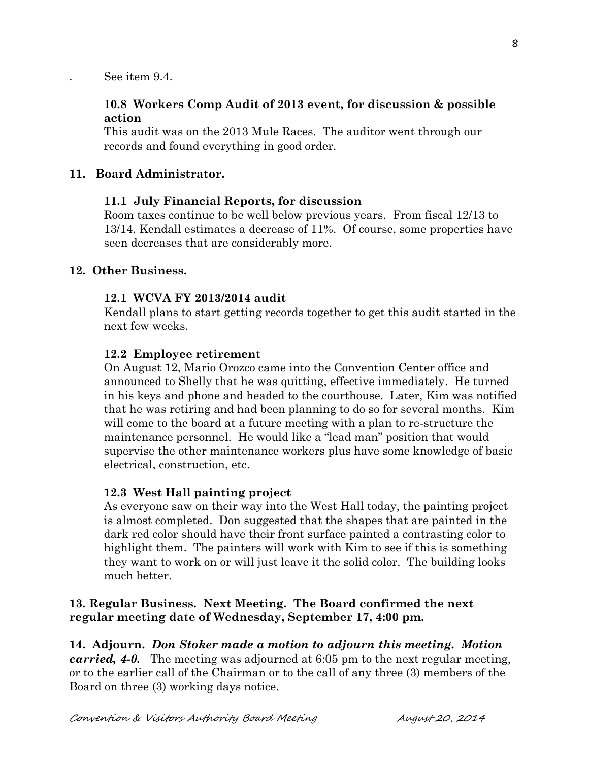See item  $9.4$ .

# **10.8 Workers Comp Audit of 2013 event, for discussion & possible action**

This audit was on the 2013 Mule Races. The auditor went through our records and found everything in good order.

# **11. Board Administrator.**

## **11.1 July Financial Reports, for discussion**

Room taxes continue to be well below previous years. From fiscal 12/13 to 13/14, Kendall estimates a decrease of 11%. Of course, some properties have seen decreases that are considerably more.

#### **12. Other Business.**

## **12.1 WCVA FY 2013/2014 audit**

Kendall plans to start getting records together to get this audit started in the next few weeks.

## **12.2 Employee retirement**

On August 12, Mario Orozco came into the Convention Center office and announced to Shelly that he was quitting, effective immediately. He turned in his keys and phone and headed to the courthouse. Later, Kim was notified that he was retiring and had been planning to do so for several months. Kim will come to the board at a future meeting with a plan to re-structure the maintenance personnel. He would like a "lead man" position that would supervise the other maintenance workers plus have some knowledge of basic electrical, construction, etc.

#### **12.3 West Hall painting project**

As everyone saw on their way into the West Hall today, the painting project is almost completed. Don suggested that the shapes that are painted in the dark red color should have their front surface painted a contrasting color to highlight them. The painters will work with Kim to see if this is something they want to work on or will just leave it the solid color. The building looks much better.

# **13. Regular Business. Next Meeting. The Board confirmed the next regular meeting date of Wednesday, September 17, 4:00 pm.**

**14. Adjourn.** *Don Stoker made a motion to adjourn this meeting. Motion carried, 4-0.* The meeting was adjourned at 6:05 pm to the next regular meeting, or to the earlier call of the Chairman or to the call of any three (3) members of the Board on three (3) working days notice.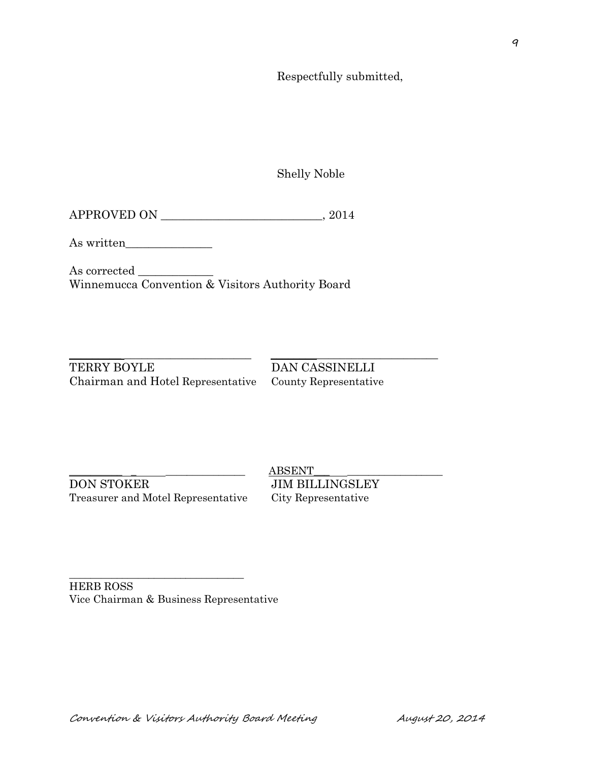Respectfully submitted,

Shelly Noble

APPROVED ON \_\_\_\_\_\_\_\_\_\_\_\_\_\_\_\_\_\_\_\_\_\_\_\_\_\_\_\_, 2014

As written\_\_\_\_\_\_\_\_\_\_\_\_\_\_\_

As corrected \_\_\_\_\_\_\_\_\_\_\_\_\_ Winnemucca Convention & Visitors Authority Board

 $\_$  ,  $\_$  ,  $\_$  ,  $\_$  ,  $\_$  ,  $\_$  ,  $\_$  ,  $\_$  ,  $\_$  ,  $\_$  ,  $\_$  ,  $\_$  ,  $\_$  ,  $\_$  ,  $\_$  ,  $\_$  ,  $\_$  ,  $\_$  ,  $\_$  ,  $\_$  ,  $\_$  ,  $\_$  ,  $\_$  ,  $\_$  ,  $\_$  ,  $\_$  ,  $\_$  ,  $\_$  ,  $\_$  ,  $\_$  ,  $\_$  ,  $\_$  ,  $\_$  ,  $\_$  ,  $\_$  ,  $\_$  ,  $\_$  , TERRY BOYLE DAN CASSINELLI Chairman and Hotel Representative County Representative

DON STOKER JIM BILLINGSLEY Treasurer and Motel Representative City Representative

\_\_\_\_\_\_\_\_\_\_\_\_\_\_\_\_\_\_\_\_\_\_\_\_\_\_\_\_\_\_\_\_\_

 $ABSENT$ 

HERB ROSS Vice Chairman & Business Representative